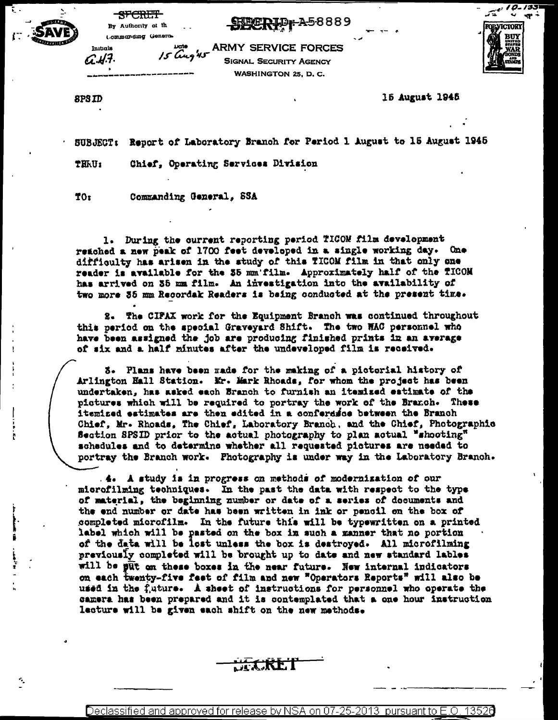SEPERID + A58889



Ŧ.

 $\ddot{\phantom{a}}$ 

June 15 ARMY SERVICE FORCES **SIGNAL SECURITY AGENCY** WASHINGTON 25, D. C.



8PSID

15 August 1945

SUBJECT: Report of Laboratory Branch for Period 1 August to 15 August 1945

Chief, Operating Services Division THRU:

TO: Commanding General, SSA

**SFCRET** 

By Authority of th Lommanding Genero.

1. During the current reporting period TICOM film development reached a new peak of 1700 feet developed in a single working day. One difficulty has arisen in the study of this TICOM film in that only one reader is available for the 35 mm film. Approximately half of the fICOM has arrived on 35 mm film. An investigation into the availability of two more 35 mm Recordak Readers is being conducted at the present time.

2. The CIPAX work for the Equipment Branch was continued throughout this period on the special Graveyard Shift. The two WAC personnel who have been assigned the job are producing finished prints in an average of six and a half minutes after the undeveloped film is received.

3. Plans have been made for the making of a pictorial history of Arlington Hall Station. Mr. Mark Rhoads, for whom the project has been undertaken, has asked each Branch to furnish an itemized estimate of the pictures which will be required to portray the work of the Branch. These itemized estimates are then edited in a conferasoe between the Branch Chief, Mr. Rhoads, The Chief, Laboratory Branch, and the Chief, Photographic Section SPSID prior to the actual photography to plan actual "shooting" schedules and to determine whether all requested pictures are needed to portray the Branch work. Photography is under way in the Laboratory Branch.

. 4. A study is in progress on methods of modernization of our microfilming techniques. In the past the data with respect to the type of material, the beginning number or date of a series of documents and the end number or date has been written in ink or pencil on the box of completed microfilm. In the future this will be typewritten on a printed label which will be pasted on the box in such a manner that no portion of the data will be lost unless the box is destroyed. All microfilming previously completed will be brought up to date and new standard lables will be put on these boxes in the near future. New internal indicators on each twenty-five feet of film and new "Operators Reports" will also be used in the future. A sheet of instructions for personnel who operate the camera has been prepared and it is contemplated that a one hour instruction lecture will be given each shift on the new methods.

Declassified and approved for release by NSA on 07-25-2013 pursuant to E.O. 13526

JET.KET